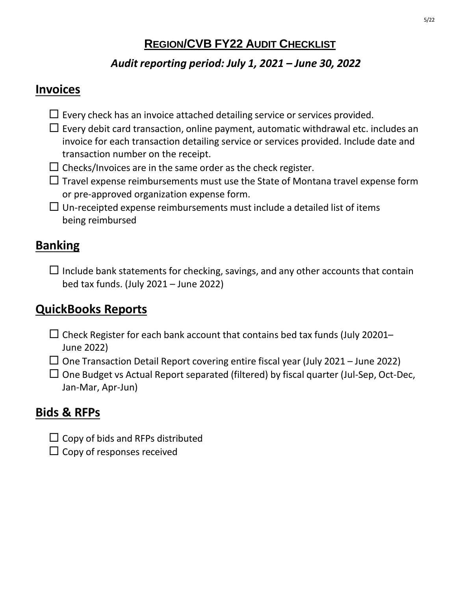### **REGION/CVB FY22 AUDIT CHECKLIST**

#### *Audit reporting period: July 1, 2021 – June 30, 2022*

#### **Invoices**

- $\Box$  Every check has an invoice attached detailing service or services provided.
- $\Box$  Every debit card transaction, online payment, automatic withdrawal etc. includes an invoice for each transaction detailing service or services provided. Include date and transaction number on the receipt.
- $\Box$  Checks/Invoices are in the same order as the check register.
- $\Box$  Travel expense reimbursements must use the State of Montana travel expense form or pre-approved organization expense form.
- $\Box$  Un-receipted expense reimbursements must include a detailed list of items being reimbursed

# **Banking**

 $\Box$  Include bank statements for checking, savings, and any other accounts that contain bed tax funds. (July 2021 – June 2022)

# **QuickBooks Reports**

- $\Box$  Check Register for each bank account that contains bed tax funds (July 20201– June 2022)
- $\Box$  One Transaction Detail Report covering entire fiscal year (July 2021 June 2022)
- $\Box$  One Budget vs Actual Report separated (filtered) by fiscal quarter (Jul-Sep, Oct-Dec, Jan-Mar, Apr-Jun)

# **Bids & RFPs**

- $\Box$  Copy of bids and RFPs distributed
- $\square$  Copy of responses received